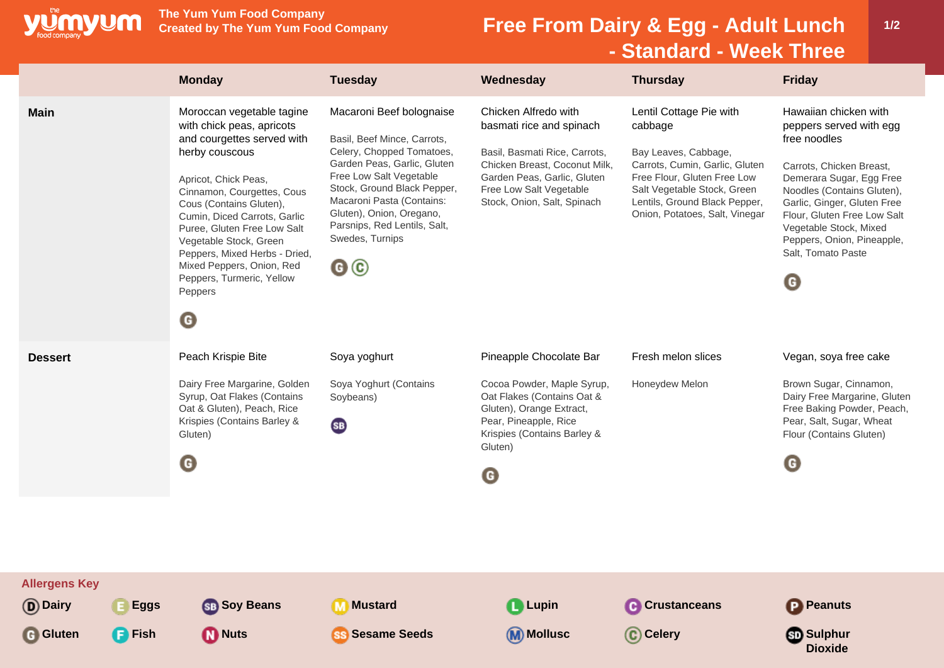

**The Yum Yum Food Company**

## **Free From Dairy & Egg - Adult Lunch - Standard - Week Three**

**1/2**

|                                   | <b>Monday</b>                                                                                                                                                                                                                                                                                                                                                                                              | <b>Tuesday</b>                                                                                                                                                                                                                                                                                                               | Wednesday                                                                                                                                                                                                   | <b>Thursday</b>                                                                                                                                                                                                               | <b>Friday</b>                                                                                                                                                                                                                                                                                                     |
|-----------------------------------|------------------------------------------------------------------------------------------------------------------------------------------------------------------------------------------------------------------------------------------------------------------------------------------------------------------------------------------------------------------------------------------------------------|------------------------------------------------------------------------------------------------------------------------------------------------------------------------------------------------------------------------------------------------------------------------------------------------------------------------------|-------------------------------------------------------------------------------------------------------------------------------------------------------------------------------------------------------------|-------------------------------------------------------------------------------------------------------------------------------------------------------------------------------------------------------------------------------|-------------------------------------------------------------------------------------------------------------------------------------------------------------------------------------------------------------------------------------------------------------------------------------------------------------------|
| <b>Main</b>                       | Moroccan vegetable tagine<br>with chick peas, apricots<br>and courgettes served with<br>herby couscous<br>Apricot, Chick Peas,<br>Cinnamon, Courgettes, Cous<br>Cous (Contains Gluten),<br>Cumin, Diced Carrots, Garlic<br>Puree, Gluten Free Low Salt<br>Vegetable Stock, Green<br>Peppers, Mixed Herbs - Dried,<br>Mixed Peppers, Onion, Red<br>Peppers, Turmeric, Yellow<br>Peppers<br>$\mathbf \Theta$ | Macaroni Beef bolognaise<br>Basil, Beef Mince, Carrots,<br>Celery, Chopped Tomatoes,<br>Garden Peas, Garlic, Gluten<br>Free Low Salt Vegetable<br>Stock, Ground Black Pepper,<br>Macaroni Pasta (Contains:<br>Gluten), Onion, Oregano,<br>Parsnips, Red Lentils, Salt,<br>Swedes, Turnips<br>$\mathbf{G} \, \mathbf{\Theta}$ | Chicken Alfredo with<br>basmati rice and spinach<br>Basil, Basmati Rice, Carrots,<br>Chicken Breast, Coconut Milk,<br>Garden Peas, Garlic, Gluten<br>Free Low Salt Vegetable<br>Stock, Onion, Salt, Spinach | Lentil Cottage Pie with<br>cabbage<br>Bay Leaves, Cabbage,<br>Carrots, Cumin, Garlic, Gluten<br>Free Flour, Gluten Free Low<br>Salt Vegetable Stock, Green<br>Lentils, Ground Black Pepper,<br>Onion, Potatoes, Salt, Vinegar | Hawaiian chicken with<br>peppers served with egg<br>free noodles<br>Carrots, Chicken Breast,<br>Demerara Sugar, Egg Free<br>Noodles (Contains Gluten),<br>Garlic, Ginger, Gluten Free<br>Flour, Gluten Free Low Salt<br>Vegetable Stock, Mixed<br>Peppers, Onion, Pineapple,<br>Salt, Tomato Paste<br>$\mathbf G$ |
| <b>Dessert</b>                    | Peach Krispie Bite<br>Dairy Free Margarine, Golden<br>Syrup, Oat Flakes (Contains<br>Oat & Gluten), Peach, Rice<br>Krispies (Contains Barley &<br>Gluten)<br>O                                                                                                                                                                                                                                             | Soya yoghurt<br>Soya Yoghurt (Contains<br>Soybeans)<br><b>SB</b>                                                                                                                                                                                                                                                             | Pineapple Chocolate Bar<br>Cocoa Powder, Maple Syrup,<br>Oat Flakes (Contains Oat &<br>Gluten), Orange Extract,<br>Pear, Pineapple, Rice<br>Krispies (Contains Barley &<br>Gluten)<br>G                     | Fresh melon slices<br>Honeydew Melon                                                                                                                                                                                          | Vegan, soya free cake<br>Brown Sugar, Cinnamon,<br>Dairy Free Margarine, Gluten<br>Free Baking Powder, Peach,<br>Pear, Salt, Sugar, Wheat<br>Flour (Contains Gluten)<br>$\mathbf G$                                                                                                                               |
| <b>Allergens Key</b><br>(D) Dairy | <b>SB</b> Soy Beans<br>E Eggs                                                                                                                                                                                                                                                                                                                                                                              | <b>Mustard</b><br>M                                                                                                                                                                                                                                                                                                          | <b>Lupin</b>                                                                                                                                                                                                | <b>C</b> Crustanceans                                                                                                                                                                                                         | <b>P</b> Peanuts                                                                                                                                                                                                                                                                                                  |
| <b>G</b> Gluten<br><b>Fish</b>    | <b>D</b> Nuts                                                                                                                                                                                                                                                                                                                                                                                              | <b>Sesame Seeds</b>                                                                                                                                                                                                                                                                                                          | <b>M</b> Mollusc                                                                                                                                                                                            | C Celery                                                                                                                                                                                                                      | <b>SD</b> Sulphur<br><b>Dioxide</b>                                                                                                                                                                                                                                                                               |